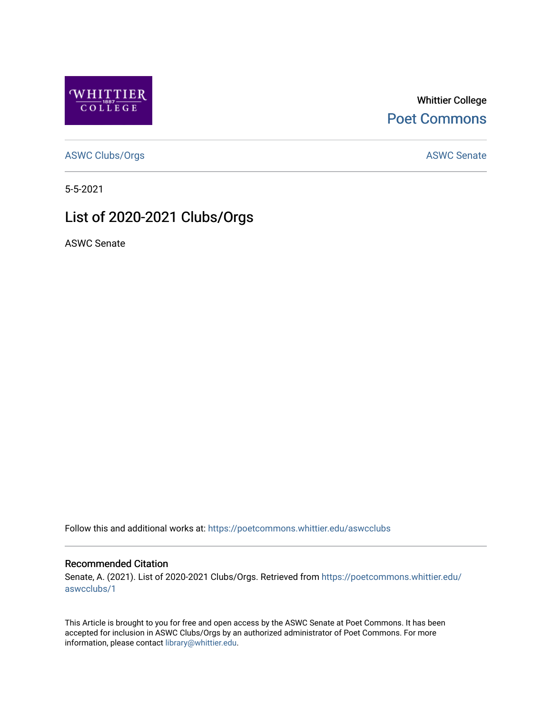

Whittier College [Poet Commons](https://poetcommons.whittier.edu/) 

[ASWC Clubs/Orgs](https://poetcommons.whittier.edu/aswcclubs) **ASWC Senate** 

5-5-2021

# List of 2020-2021 Clubs/Orgs

ASWC Senate

Follow this and additional works at: [https://poetcommons.whittier.edu/aswcclubs](https://poetcommons.whittier.edu/aswcclubs?utm_source=poetcommons.whittier.edu%2Faswcclubs%2F1&utm_medium=PDF&utm_campaign=PDFCoverPages) 

#### Recommended Citation

Senate, A. (2021). List of 2020-2021 Clubs/Orgs. Retrieved from [https://poetcommons.whittier.edu/](https://poetcommons.whittier.edu/aswcclubs/1?utm_source=poetcommons.whittier.edu%2Faswcclubs%2F1&utm_medium=PDF&utm_campaign=PDFCoverPages) [aswcclubs/1](https://poetcommons.whittier.edu/aswcclubs/1?utm_source=poetcommons.whittier.edu%2Faswcclubs%2F1&utm_medium=PDF&utm_campaign=PDFCoverPages) 

This Article is brought to you for free and open access by the ASWC Senate at Poet Commons. It has been accepted for inclusion in ASWC Clubs/Orgs by an authorized administrator of Poet Commons. For more information, please contact [library@whittier.edu.](mailto:library@whittier.edu)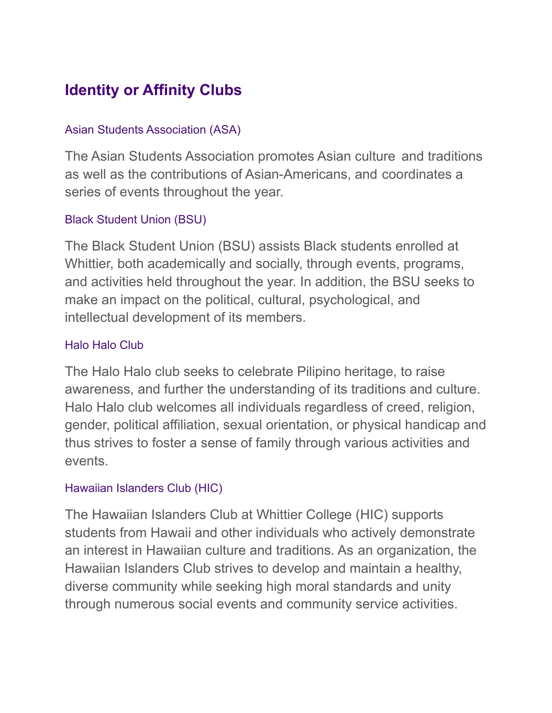# **Identity or Affinity Clubs**

### Asian Students Association (ASA)

The Asian Students Association promotes Asian culture and traditions as well as the contributions of Asian-Americans, and coordinates a series of events throughout the year.

# Black Student Union (BSU)

The Black Student Union (BSU) assists Black students enrolled at Whittier, both academically and socially, through events, programs, and activities held throughout the year. In addition, the BSU seeks to make an impact on the political, cultural, psychological, and intellectual development of its members.

#### Halo Halo Club

The Halo Halo club seeks to celebrate Pilipino heritage, to raise awareness, and further the understanding of its traditions and culture. Halo Halo club welcomes all individuals regardless of creed, religion, gender, political affiliation, sexual orientation, or physical handicap and thus strives to foster a sense of family through various activities and events.

#### Hawaiian Islanders Club (HIC)

The Hawaiian Islanders Club at Whittier College (HIC) supports students from Hawaii and other individuals who actively demonstrate an interest in Hawaiian culture and traditions. As an organization, the Hawaiian Islanders Club strives to develop and maintain a healthy, diverse community while seeking high moral standards and unity through numerous social events and community service activities.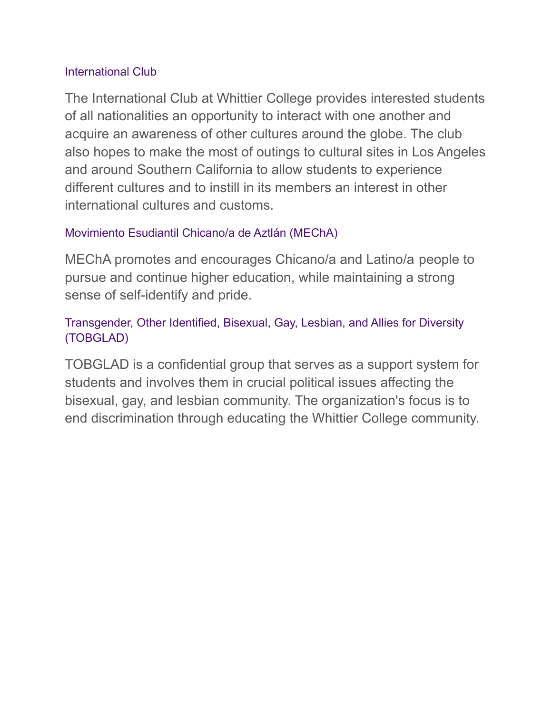#### International Club

The International Club at Whittier College provides interested students of all nationalities an opportunity to interact with one another and acquire an awareness of other cultures around the globe. The club also hopes to make the most of outings to cultural sites in Los Angeles and around Southern California to allow students to experience different cultures and to instill in its members an interest in other international cultures and customs.

#### Movimiento Esudiantil Chicano/a de Aztlán (MEChA)

MEChA promotes and encourages Chicano/a and Latino/a people to pursue and continue higher education, while maintaining a strong sense of self-identify and pride.

# Transgender, Other Identified, Bisexual, Gay, Lesbian, and Allies for Diversity (TOBGLAD)

TOBGLAD is a confidential group that serves as a support system for students and involves them in crucial political issues affecting the bisexual, gay, and lesbian community. The organization's focus is to end discrimination through educating the Whittier College community.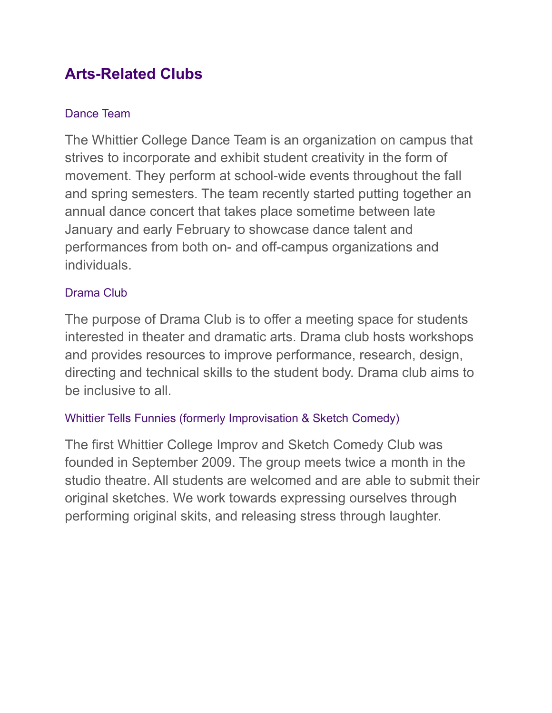# **Arts-Related Clubs**

# Dance Team

The Whittier College Dance Team is an organization on campus that strives to incorporate and exhibit student creativity in the form of movement. They perform at school-wide events throughout the fall and spring semesters. The team recently started putting together an annual dance concert that takes place sometime between late January and early February to showcase dance talent and performances from both on- and off-campus organizations and individuals.

### Drama Club

The purpose of Drama Club is to offer a meeting space for students interested in theater and dramatic arts. Drama club hosts workshops and provides resources to improve performance, research, design, directing and technical skills to the student body. Drama club aims to be inclusive to all.

### Whittier Tells Funnies (formerly Improvisation & Sketch Comedy)

The first Whittier College Improv and Sketch Comedy Club was founded in September 2009. The group meets twice a month in the studio theatre. All students are welcomed and are able to submit their original sketches. We work towards expressing ourselves through performing original skits, and releasing stress through laughter.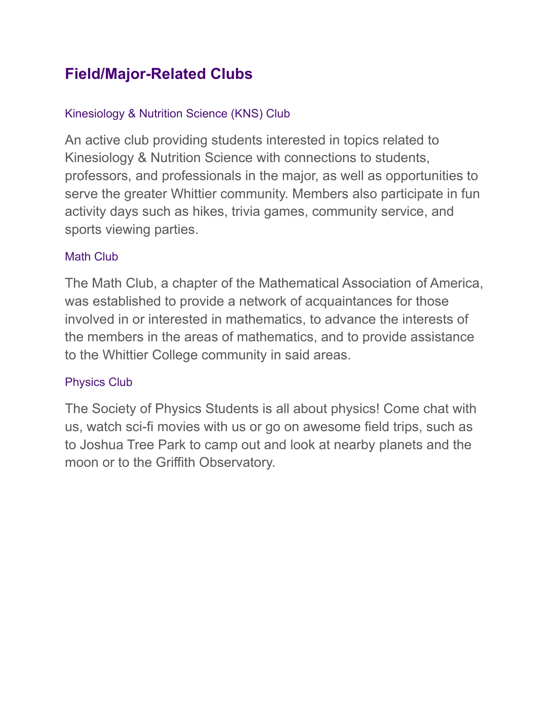# **Field/Major-Related Clubs**

# Kinesiology & Nutrition Science (KNS) Club

An active club providing students interested in topics related to Kinesiology & Nutrition Science with connections to students, professors, and professionals in the major, as well as opportunities to serve the greater Whittier community. Members also participate in fun activity days such as hikes, trivia games, community service, and sports viewing parties.

#### Math Club

The Math Club, a chapter of the Mathematical Association of America, was established to provide a network of acquaintances for those involved in or interested in mathematics, to advance the interests of the members in the areas of mathematics, and to provide assistance to the Whittier College community in said areas.

# Physics Club

The Society of Physics Students is all about physics! Come chat with us, watch sci-fi movies with us or go on awesome field trips, such as to Joshua Tree Park to camp out and look at nearby planets and the moon or to the Griffith Observatory.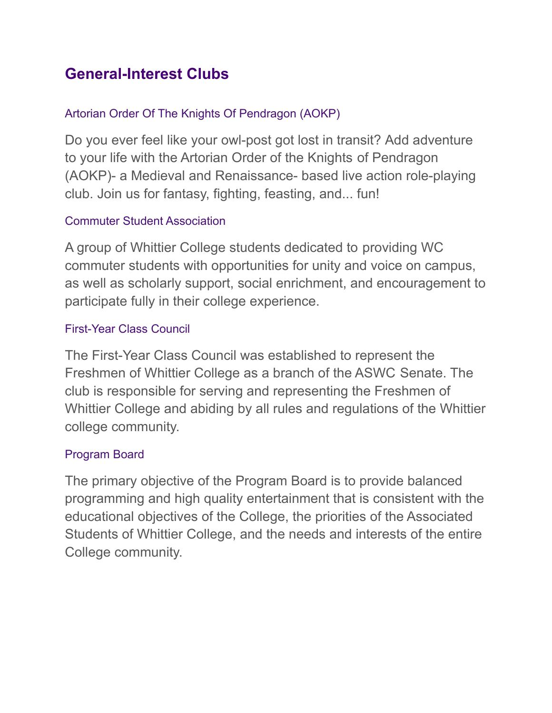# **General-Interest Clubs**

# Artorian Order Of The Knights Of Pendragon (AOKP)

Do you ever feel like your owl-post got lost in transit? Add adventure to your life with the Artorian Order of the Knights of Pendragon (AOKP)- a Medieval and Renaissance- based live action role-playing club. Join us for fantasy, fighting, feasting, and... fun!

# Commuter Student Association

A group of Whittier College students dedicated to providing WC commuter students with opportunities for unity and voice on campus, as well as scholarly support, social enrichment, and encouragement to participate fully in their college experience.

# First-Year Class Council

The First-Year Class Council was established to represent the Freshmen of Whittier College as a branch of the ASWC Senate. The club is responsible for serving and representing the Freshmen of Whittier College and abiding by all rules and regulations of the Whittier college community.

### Program Board

The primary objective of the Program Board is to provide balanced programming and high quality entertainment that is consistent with the educational objectives of the College, the priorities of the Associated Students of Whittier College, and the needs and interests of the entire College community.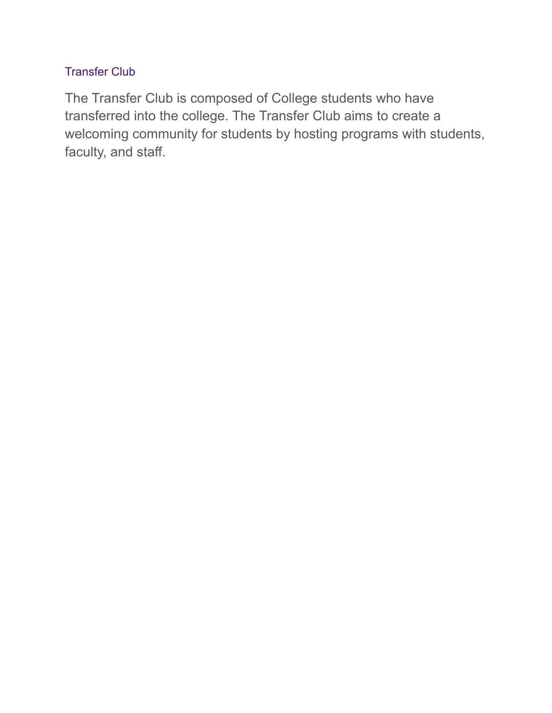### Transfer Club

The Transfer Club is composed of College students who have transferred into the college. The Transfer Club aims to create a welcoming community for students by hosting programs with students, faculty, and staff.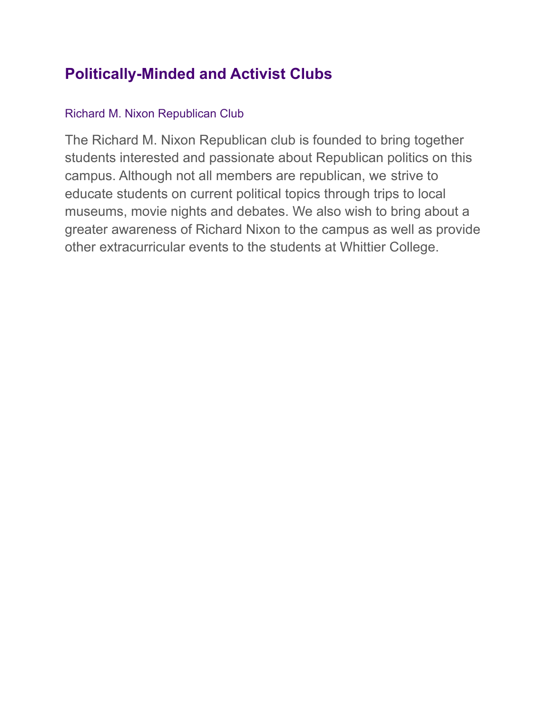# **Politically-Minded and Activist Clubs**

# Richard M. Nixon Republican Club

The Richard M. Nixon Republican club is founded to bring together students interested and passionate about Republican politics on this campus. Although not all members are republican, we strive to educate students on current political topics through trips to local museums, movie nights and debates. We also wish to bring about a greater awareness of Richard Nixon to the campus as well as provide other extracurricular events to the students at Whittier College.